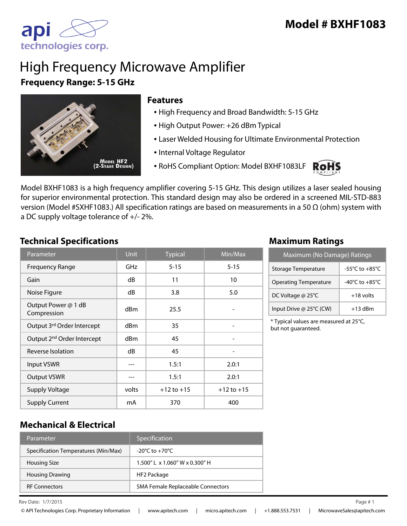

# High Frequency Microwave Amplifier **Frequency Range: 5-15 GHz**



#### **Features**

- High Frequency and Broad Bandwidth: 5-15 GHz
- High Output Power: +26 dBm Typical
- Laser Welded Housing for Ultimate Environmental Protection
- Internal Voltage Regulator
- RoHS Compliant Option: Model BXHF1083LF



Model BXHF1083 is a high frequency amplifier covering 5-15 GHz. This design utilizes a laser sealed housing for superior environmental protection. This standard design may also be ordered in a screened MIL-STD-883 version (Model #SXHF1083.) All specification ratings are based on measurements in a 50 Ω (ohm) system with a DC supply voltage tolerance of +/- 2%.

#### **Technical Specifications Maximum Ratings**

| Parameter                              | <b>Unit</b> | <b>Typical</b> | Min/Max        |
|----------------------------------------|-------------|----------------|----------------|
| <b>Frequency Range</b>                 | GHz         | $5 - 15$       | $5 - 15$       |
| Gain                                   | dB          | 11             | 10             |
| Noise Figure                           | dB          | 3.8            | 5.0            |
| Output Power @ 1 dB<br>Compression     | dBm         | 25.5           |                |
| Output 3rd Order Intercept             | dBm         | 35             |                |
| Output 2 <sup>nd</sup> Order Intercept | dBm         | 45             |                |
| Reverse Isolation                      | dB          | 45             |                |
| <b>Input VSWR</b>                      |             | 1.5:1          | 2.0:1          |
| <b>Output VSWR</b>                     |             | 1.5:1          | 2.0:1          |
| <b>Supply Voltage</b>                  | volts       | $+12$ to $+15$ | $+12$ to $+15$ |
| <b>Supply Current</b>                  | mA          | 370            | 400            |

| Maximum (No Damage) Ratings  |                                      |  |
|------------------------------|--------------------------------------|--|
| Storage Temperature          | -55 $^{\circ}$ C to +85 $^{\circ}$ C |  |
| <b>Operating Temperature</b> | -40 $^{\circ}$ C to +85 $^{\circ}$ C |  |
| DC Voltage @ 25°C            | $+18$ volts                          |  |
| Input Drive @ 25°C (CW)      | $+13$ dBm                            |  |

\* Typical values are measured at 25°C, but not guaranteed.

#### **Mechanical & Electrical**

| Parameter                            | Specification                        |
|--------------------------------------|--------------------------------------|
| Specification Temperatures (Min/Max) | $-20^{\circ}$ C to $+70^{\circ}$ C   |
| <b>Housing Size</b>                  | $1.500''$   x $1.060''$ W x 0.300" H |
| <b>Housing Drawing</b>               | HF2 Package                          |
| <b>RF Connectors</b>                 | SMA Female Replaceable Connectors    |

 $\ell$  Rev Date:  $1/7/2015$  Page # 1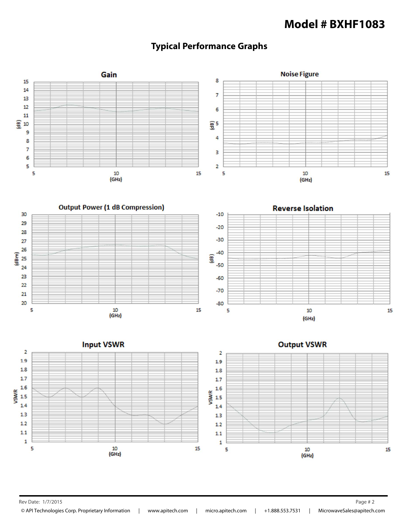## **Model # BXHF1083**





Rev Date: 1/7/2015 **Page # 2**